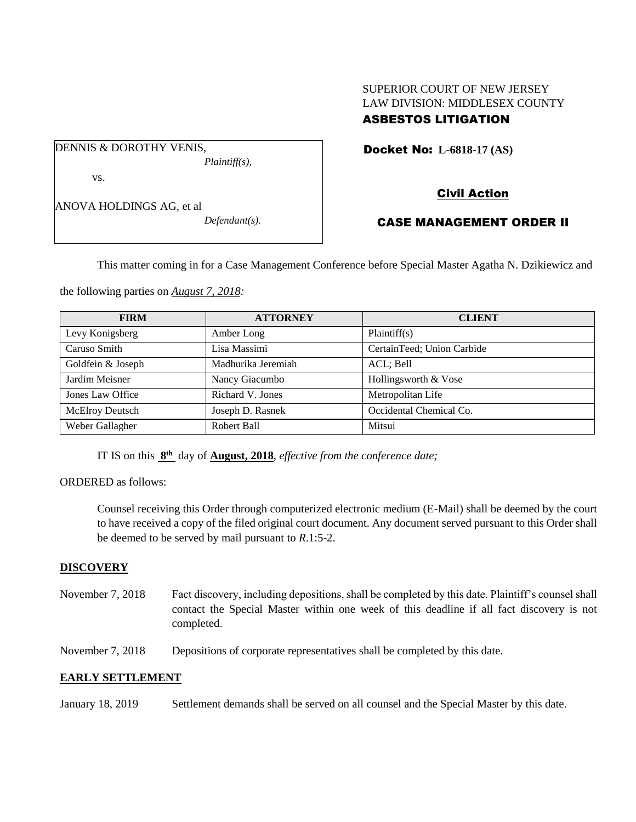# SUPERIOR COURT OF NEW JERSEY LAW DIVISION: MIDDLESEX COUNTY ASBESTOS LITIGATION

Docket No: **L-6818-17 (AS)** 

vs.

ANOVA HOLDINGS AG, et al

DENNIS & DOROTHY VENIS,

*Defendant(s).*

*Plaintiff(s),*

# Civil Action

# CASE MANAGEMENT ORDER II

This matter coming in for a Case Management Conference before Special Master Agatha N. Dzikiewicz and

the following parties on *August 7, 2018:*

| <b>FIRM</b>            | <b>ATTORNEY</b>    | <b>CLIENT</b>              |
|------------------------|--------------------|----------------------------|
| Levy Konigsberg        | Amber Long         | Plaintiff(s)               |
| Caruso Smith           | Lisa Massimi       | CertainTeed; Union Carbide |
| Goldfein & Joseph      | Madhurika Jeremiah | ACL; Bell                  |
| Jardim Meisner         | Nancy Giacumbo     | Hollingsworth & Vose       |
| Jones Law Office       | Richard V. Jones   | Metropolitan Life          |
| <b>McElroy Deutsch</b> | Joseph D. Rasnek   | Occidental Chemical Co.    |
| Weber Gallagher        | Robert Ball        | Mitsui                     |

IT IS on this **8 th** day of **August, 2018**, *effective from the conference date;*

ORDERED as follows:

Counsel receiving this Order through computerized electronic medium (E-Mail) shall be deemed by the court to have received a copy of the filed original court document. Any document served pursuant to this Order shall be deemed to be served by mail pursuant to *R*.1:5-2.

# **DISCOVERY**

November 7, 2018 Fact discovery, including depositions, shall be completed by this date. Plaintiff's counsel shall contact the Special Master within one week of this deadline if all fact discovery is not completed.

November 7, 2018 Depositions of corporate representatives shall be completed by this date.

# **EARLY SETTLEMENT**

January 18, 2019 Settlement demands shall be served on all counsel and the Special Master by this date.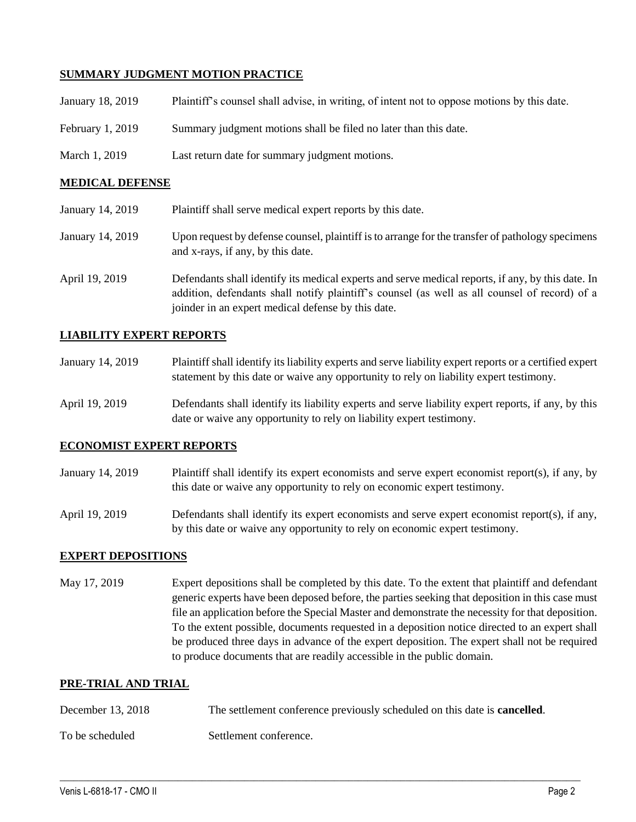# **SUMMARY JUDGMENT MOTION PRACTICE**

| January 18, 2019 | Plaintiff's counsel shall advise, in writing, of intent not to oppose motions by this date. |
|------------------|---------------------------------------------------------------------------------------------|
| February 1, 2019 | Summary judgment motions shall be filed no later than this date.                            |
| March 1, 2019    | Last return date for summary judgment motions.                                              |

## **MEDICAL DEFENSE**

| January 14, 2019 | Plaintiff shall serve medical expert reports by this date.                                                                                                                                                                                               |  |
|------------------|----------------------------------------------------------------------------------------------------------------------------------------------------------------------------------------------------------------------------------------------------------|--|
| January 14, 2019 | Upon request by defense counsel, plaintiff is to arrange for the transfer of pathology specimens<br>and x-rays, if any, by this date.                                                                                                                    |  |
| April 19, 2019   | Defendants shall identify its medical experts and serve medical reports, if any, by this date. In<br>addition, defendants shall notify plaintiff's counsel (as well as all counsel of record) of a<br>joinder in an expert medical defense by this date. |  |

## **LIABILITY EXPERT REPORTS**

| January 14, 2019 | Plaintiff shall identify its liability experts and serve liability expert reports or a certified expert |
|------------------|---------------------------------------------------------------------------------------------------------|
|                  | statement by this date or waive any opportunity to rely on liability expert testimony.                  |
|                  |                                                                                                         |

April 19, 2019 Defendants shall identify its liability experts and serve liability expert reports, if any, by this date or waive any opportunity to rely on liability expert testimony.

#### **ECONOMIST EXPERT REPORTS**

- January 14, 2019 Plaintiff shall identify its expert economists and serve expert economist report(s), if any, by this date or waive any opportunity to rely on economic expert testimony.
- April 19, 2019 Defendants shall identify its expert economists and serve expert economist report(s), if any, by this date or waive any opportunity to rely on economic expert testimony.

#### **EXPERT DEPOSITIONS**

May 17, 2019 Expert depositions shall be completed by this date. To the extent that plaintiff and defendant generic experts have been deposed before, the parties seeking that deposition in this case must file an application before the Special Master and demonstrate the necessity for that deposition. To the extent possible, documents requested in a deposition notice directed to an expert shall be produced three days in advance of the expert deposition. The expert shall not be required to produce documents that are readily accessible in the public domain.

## **PRE-TRIAL AND TRIAL**

| December 13, 2018 | The settlement conference previously scheduled on this date is <b>cancelled</b> . |
|-------------------|-----------------------------------------------------------------------------------|
| To be scheduled   | Settlement conference.                                                            |

 $\_$  ,  $\_$  ,  $\_$  ,  $\_$  ,  $\_$  ,  $\_$  ,  $\_$  ,  $\_$  ,  $\_$  ,  $\_$  ,  $\_$  ,  $\_$  ,  $\_$  ,  $\_$  ,  $\_$  ,  $\_$  ,  $\_$  ,  $\_$  ,  $\_$  ,  $\_$  ,  $\_$  ,  $\_$  ,  $\_$  ,  $\_$  ,  $\_$  ,  $\_$  ,  $\_$  ,  $\_$  ,  $\_$  ,  $\_$  ,  $\_$  ,  $\_$  ,  $\_$  ,  $\_$  ,  $\_$  ,  $\_$  ,  $\_$  ,